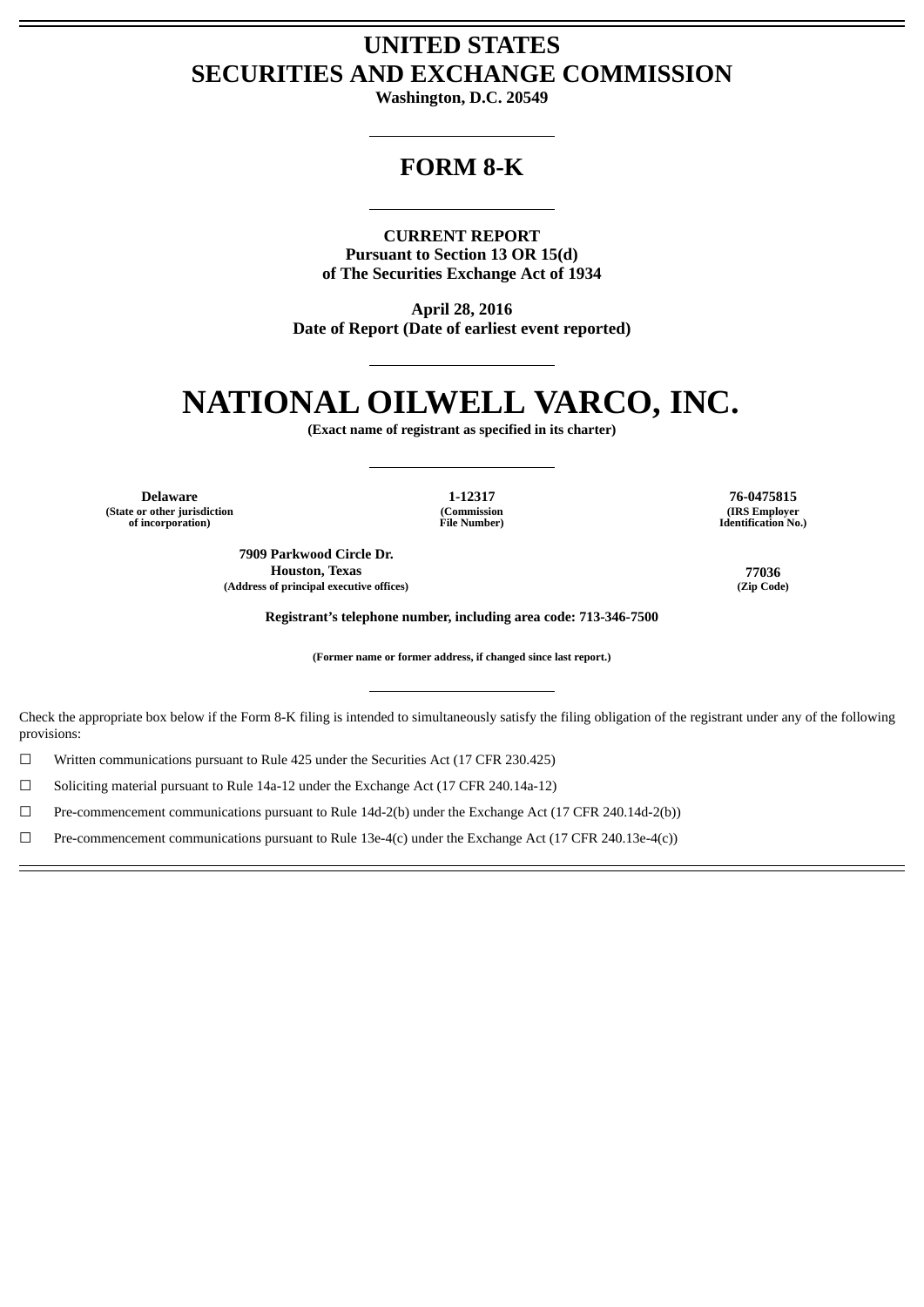# **UNITED STATES SECURITIES AND EXCHANGE COMMISSION**

**Washington, D.C. 20549**

## **FORM 8-K**

**CURRENT REPORT Pursuant to Section 13 OR 15(d) of The Securities Exchange Act of 1934**

**April 28, 2016 Date of Report (Date of earliest event reported)**

# **NATIONAL OILWELL VARCO, INC.**

**(Exact name of registrant as specified in its charter)**

**Delaware 1-12317 76-0475815 (State or other jurisdiction of incorporation)**

**(Commission File Number)**

**7909 Parkwood Circle Dr. Houston, Texas 77036 (Address of principal executive offices) (Zip Code)**

**(IRS Employer Identification No.)**

**Registrant's telephone number, including area code: 713-346-7500**

**(Former name or former address, if changed since last report.)**

Check the appropriate box below if the Form 8-K filing is intended to simultaneously satisfy the filing obligation of the registrant under any of the following provisions:

☐ Written communications pursuant to Rule 425 under the Securities Act (17 CFR 230.425)

 $\Box$  Soliciting material pursuant to Rule 14a-12 under the Exchange Act (17 CFR 240.14a-12)

☐ Pre-commencement communications pursuant to Rule 14d-2(b) under the Exchange Act (17 CFR 240.14d-2(b))

☐ Pre-commencement communications pursuant to Rule 13e-4(c) under the Exchange Act (17 CFR 240.13e-4(c))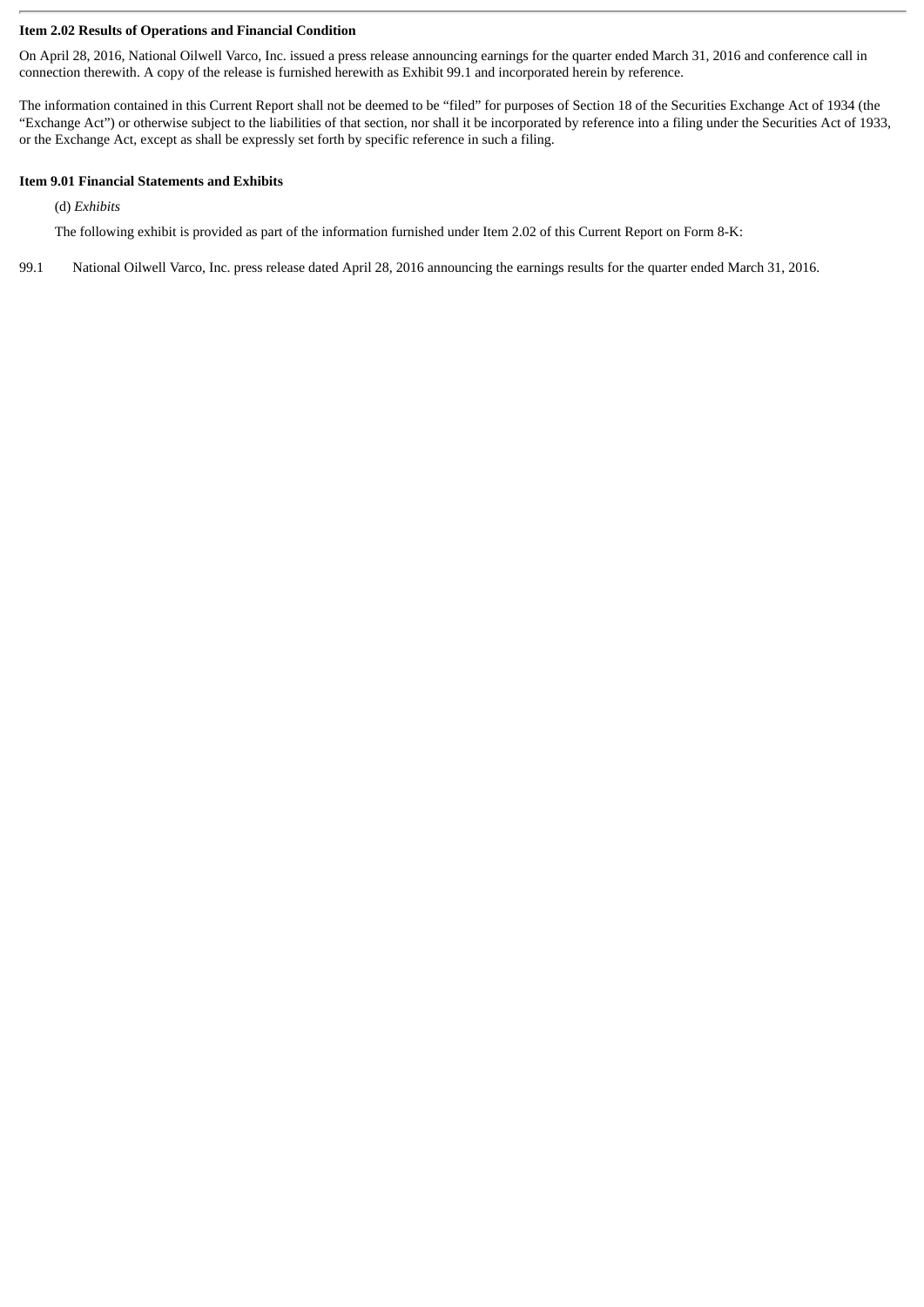#### **Item 2.02 Results of Operations and Financial Condition**

On April 28, 2016, National Oilwell Varco, Inc. issued a press release announcing earnings for the quarter ended March 31, 2016 and conference call in connection therewith. A copy of the release is furnished herewith as Exhibit 99.1 and incorporated herein by reference.

The information contained in this Current Report shall not be deemed to be "filed" for purposes of Section 18 of the Securities Exchange Act of 1934 (the "Exchange Act") or otherwise subject to the liabilities of that section, nor shall it be incorporated by reference into a filing under the Securities Act of 1933, or the Exchange Act, except as shall be expressly set forth by specific reference in such a filing.

### **Item 9.01 Financial Statements and Exhibits**

(d) *Exhibits*

The following exhibit is provided as part of the information furnished under Item 2.02 of this Current Report on Form 8-K:

99.1 National Oilwell Varco, Inc. press release dated April 28, 2016 announcing the earnings results for the quarter ended March 31, 2016.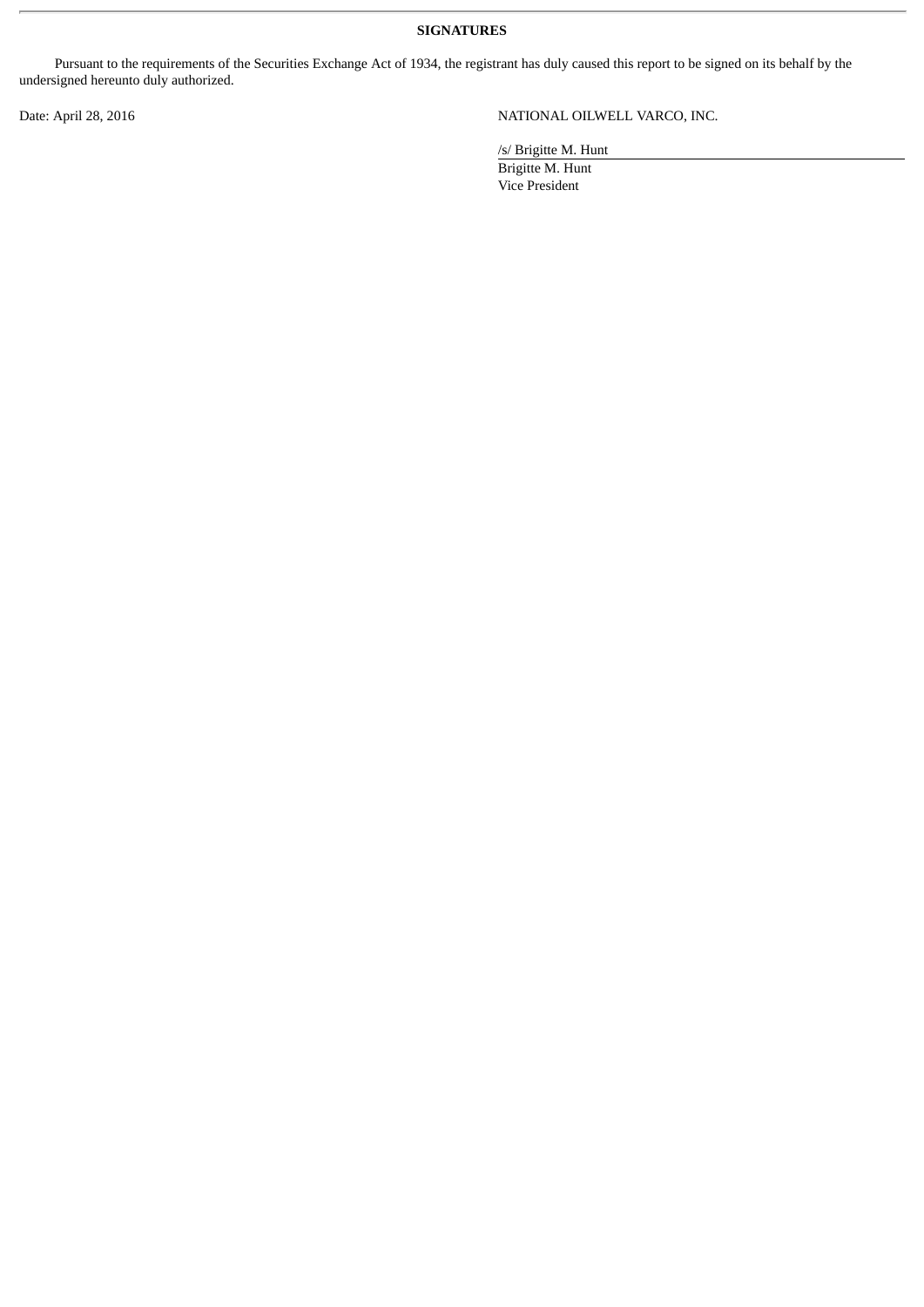**SIGNATURES**

Pursuant to the requirements of the Securities Exchange Act of 1934, the registrant has duly caused this report to be signed on its behalf by the undersigned hereunto duly authorized.

Date: April 28, 2016 NATIONAL OILWELL VARCO, INC.

/s/ Brigitte M. Hunt

Brigitte M. Hunt Vice President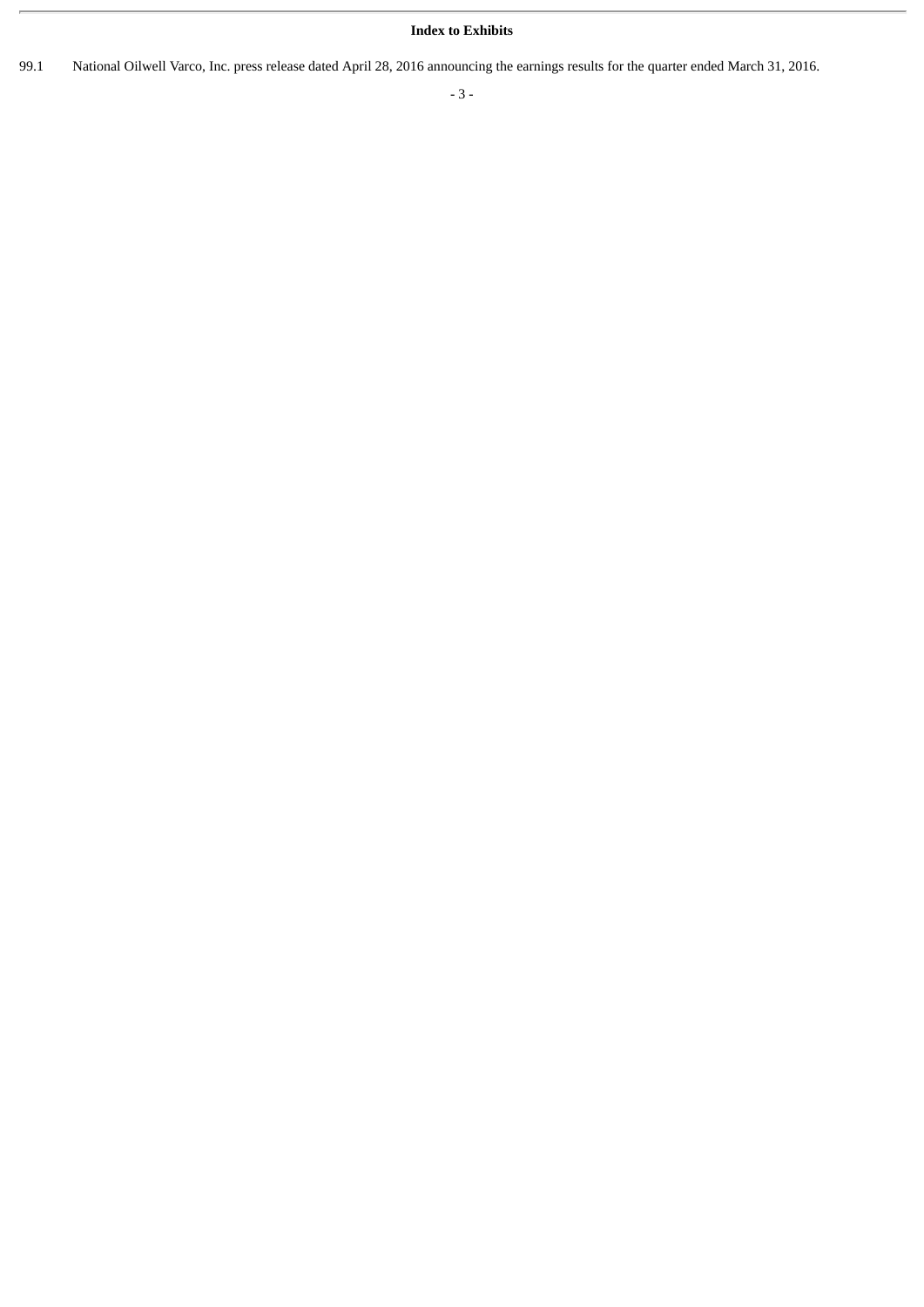## **Index to Exhibits**

99.1 National Oilwell Varco, Inc. press release dated April 28, 2016 announcing the earnings results for the quarter ended March 31, 2016.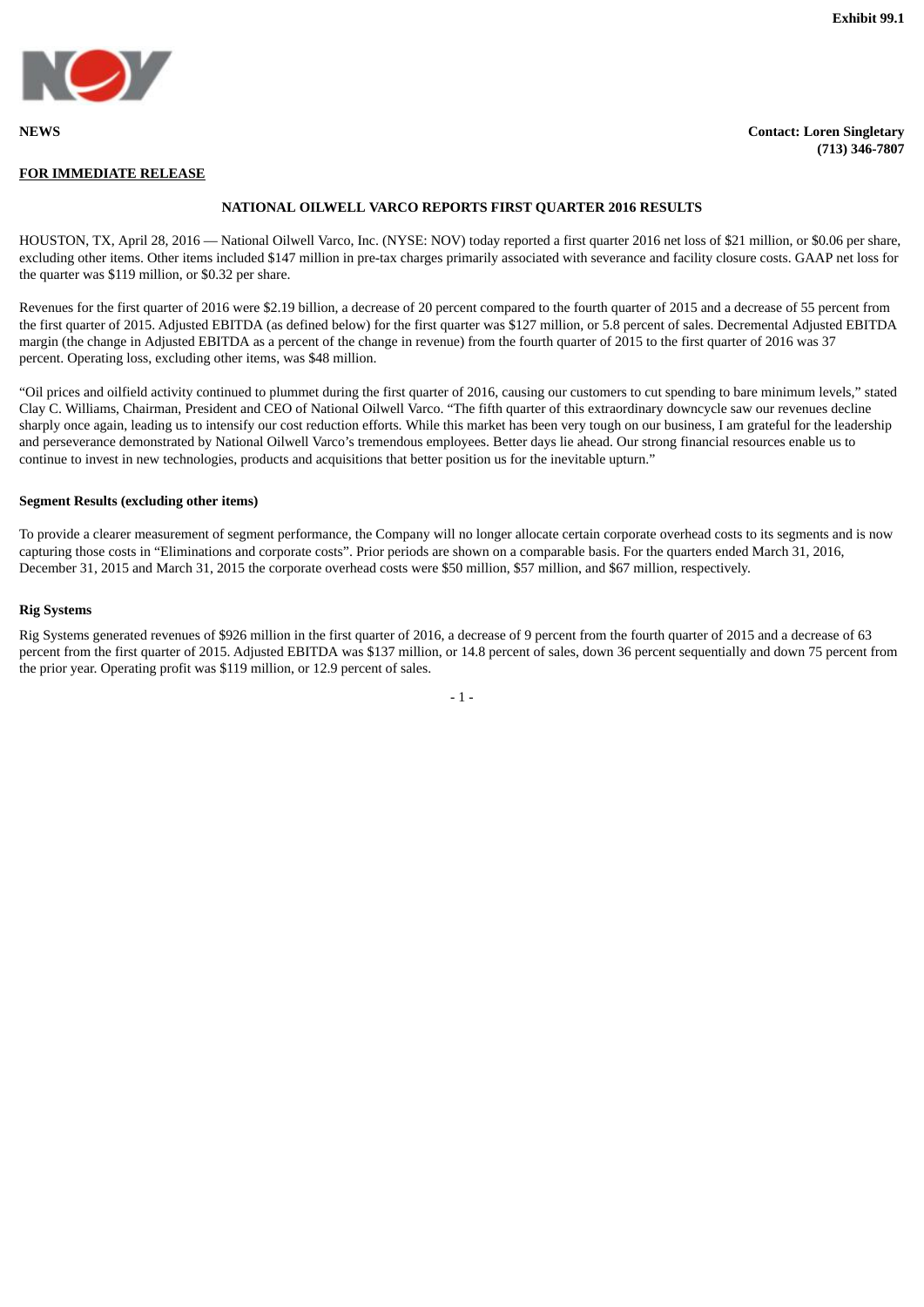**(713) 346-7807**



#### **NEWS Contact: Loren Singletary**

**FOR IMMEDIATE RELEASE**

**NATIONAL OILWELL VARCO REPORTS FIRST QUARTER 2016 RESULTS**

HOUSTON, TX, April 28, 2016 — National Oilwell Varco, Inc. (NYSE: NOV) today reported a first quarter 2016 net loss of \$21 million, or \$0.06 per share, excluding other items. Other items included \$147 million in pre-tax charges primarily associated with severance and facility closure costs. GAAP net loss for the quarter was \$119 million, or \$0.32 per share.

Revenues for the first quarter of 2016 were \$2.19 billion, a decrease of 20 percent compared to the fourth quarter of 2015 and a decrease of 55 percent from the first quarter of 2015. Adjusted EBITDA (as defined below) for the first quarter was \$127 million, or 5.8 percent of sales. Decremental Adjusted EBITDA margin (the change in Adjusted EBITDA as a percent of the change in revenue) from the fourth quarter of 2015 to the first quarter of 2016 was 37 percent. Operating loss, excluding other items, was \$48 million.

"Oil prices and oilfield activity continued to plummet during the first quarter of 2016, causing our customers to cut spending to bare minimum levels," stated Clay C. Williams, Chairman, President and CEO of National Oilwell Varco. "The fifth quarter of this extraordinary downcycle saw our revenues decline sharply once again, leading us to intensify our cost reduction efforts. While this market has been very tough on our business, I am grateful for the leadership and perseverance demonstrated by National Oilwell Varco's tremendous employees. Better days lie ahead. Our strong financial resources enable us to continue to invest in new technologies, products and acquisitions that better position us for the inevitable upturn."

#### **Segment Results (excluding other items)**

To provide a clearer measurement of segment performance, the Company will no longer allocate certain corporate overhead costs to its segments and is now capturing those costs in "Eliminations and corporate costs". Prior periods are shown on a comparable basis. For the quarters ended March 31, 2016, December 31, 2015 and March 31, 2015 the corporate overhead costs were \$50 million, \$57 million, and \$67 million, respectively.

#### **Rig Systems**

Rig Systems generated revenues of \$926 million in the first quarter of 2016, a decrease of 9 percent from the fourth quarter of 2015 and a decrease of 63 percent from the first quarter of 2015. Adjusted EBITDA was \$137 million, or 14.8 percent of sales, down 36 percent sequentially and down 75 percent from the prior year. Operating profit was \$119 million, or 12.9 percent of sales.

- 1 -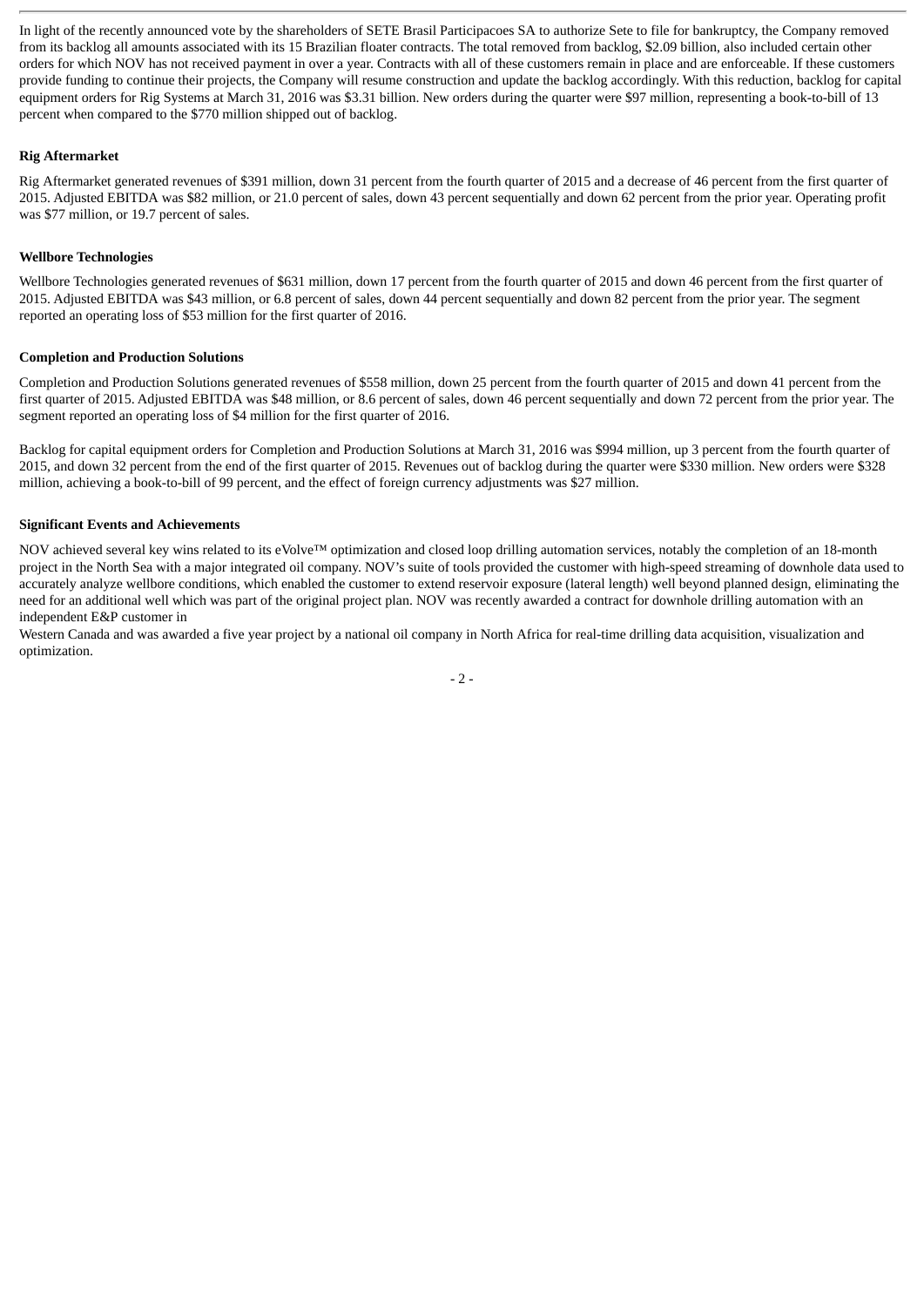In light of the recently announced vote by the shareholders of SETE Brasil Participacoes SA to authorize Sete to file for bankruptcy, the Company removed from its backlog all amounts associated with its 15 Brazilian floater contracts. The total removed from backlog, \$2.09 billion, also included certain other orders for which NOV has not received payment in over a year. Contracts with all of these customers remain in place and are enforceable. If these customers provide funding to continue their projects, the Company will resume construction and update the backlog accordingly. With this reduction, backlog for capital equipment orders for Rig Systems at March 31, 2016 was \$3.31 billion. New orders during the quarter were \$97 million, representing a book-to-bill of 13 percent when compared to the \$770 million shipped out of backlog.

#### **Rig Aftermarket**

Rig Aftermarket generated revenues of \$391 million, down 31 percent from the fourth quarter of 2015 and a decrease of 46 percent from the first quarter of 2015. Adjusted EBITDA was \$82 million, or 21.0 percent of sales, down 43 percent sequentially and down 62 percent from the prior year. Operating profit was \$77 million, or 19.7 percent of sales.

#### **Wellbore Technologies**

Wellbore Technologies generated revenues of \$631 million, down 17 percent from the fourth quarter of 2015 and down 46 percent from the first quarter of 2015. Adjusted EBITDA was \$43 million, or 6.8 percent of sales, down 44 percent sequentially and down 82 percent from the prior year. The segment reported an operating loss of \$53 million for the first quarter of 2016.

#### **Completion and Production Solutions**

Completion and Production Solutions generated revenues of \$558 million, down 25 percent from the fourth quarter of 2015 and down 41 percent from the first quarter of 2015. Adjusted EBITDA was \$48 million, or 8.6 percent of sales, down 46 percent sequentially and down 72 percent from the prior year. The segment reported an operating loss of \$4 million for the first quarter of 2016.

Backlog for capital equipment orders for Completion and Production Solutions at March 31, 2016 was \$994 million, up 3 percent from the fourth quarter of 2015, and down 32 percent from the end of the first quarter of 2015. Revenues out of backlog during the quarter were \$330 million. New orders were \$328 million, achieving a book-to-bill of 99 percent, and the effect of foreign currency adjustments was \$27 million.

#### **Significant Events and Achievements**

NOV achieved several key wins related to its eVolve™ optimization and closed loop drilling automation services, notably the completion of an 18-month project in the North Sea with a major integrated oil company. NOV's suite of tools provided the customer with high-speed streaming of downhole data used to accurately analyze wellbore conditions, which enabled the customer to extend reservoir exposure (lateral length) well beyond planned design, eliminating the need for an additional well which was part of the original project plan. NOV was recently awarded a contract for downhole drilling automation with an independent E&P customer in

Western Canada and was awarded a five year project by a national oil company in North Africa for real-time drilling data acquisition, visualization and optimization.

 $-2-$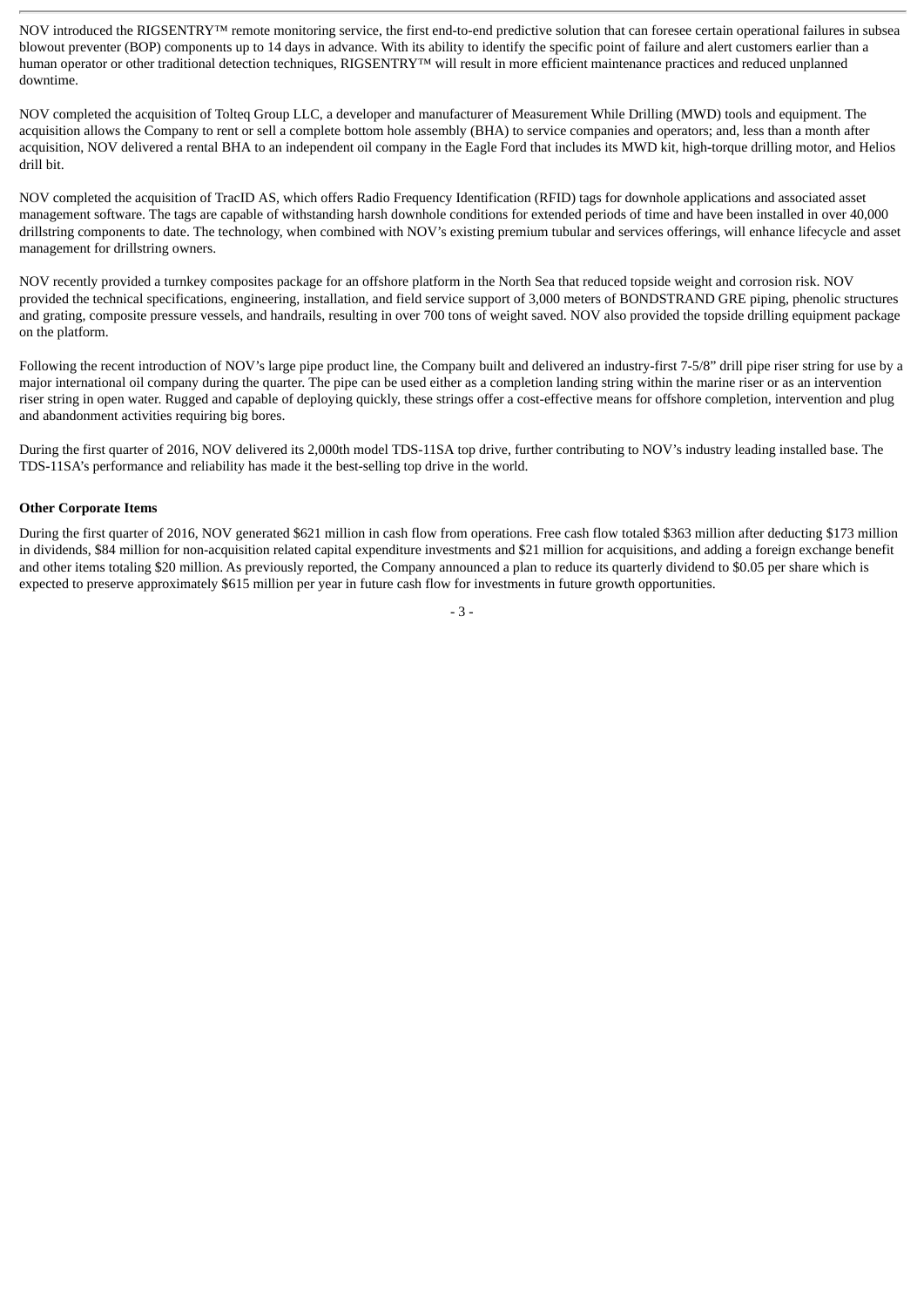NOV introduced the RIGSENTRY™ remote monitoring service, the first end-to-end predictive solution that can foresee certain operational failures in subsea blowout preventer (BOP) components up to 14 days in advance. With its ability to identify the specific point of failure and alert customers earlier than a human operator or other traditional detection techniques, RIGSENTRY™ will result in more efficient maintenance practices and reduced unplanned downtime.

NOV completed the acquisition of Tolteq Group LLC, a developer and manufacturer of Measurement While Drilling (MWD) tools and equipment. The acquisition allows the Company to rent or sell a complete bottom hole assembly (BHA) to service companies and operators; and, less than a month after acquisition, NOV delivered a rental BHA to an independent oil company in the Eagle Ford that includes its MWD kit, high-torque drilling motor, and Helios drill bit.

NOV completed the acquisition of TracID AS, which offers Radio Frequency Identification (RFID) tags for downhole applications and associated asset management software. The tags are capable of withstanding harsh downhole conditions for extended periods of time and have been installed in over 40,000 drillstring components to date. The technology, when combined with NOV's existing premium tubular and services offerings, will enhance lifecycle and asset management for drillstring owners.

NOV recently provided a turnkey composites package for an offshore platform in the North Sea that reduced topside weight and corrosion risk. NOV provided the technical specifications, engineering, installation, and field service support of 3,000 meters of BONDSTRAND GRE piping, phenolic structures and grating, composite pressure vessels, and handrails, resulting in over 700 tons of weight saved. NOV also provided the topside drilling equipment package on the platform.

Following the recent introduction of NOV's large pipe product line, the Company built and delivered an industry-first 7-5/8" drill pipe riser string for use by a major international oil company during the quarter. The pipe can be used either as a completion landing string within the marine riser or as an intervention riser string in open water. Rugged and capable of deploying quickly, these strings offer a cost-effective means for offshore completion, intervention and plug and abandonment activities requiring big bores.

During the first quarter of 2016, NOV delivered its 2,000th model TDS-11SA top drive, further contributing to NOV's industry leading installed base. The TDS-11SA's performance and reliability has made it the best-selling top drive in the world.

#### **Other Corporate Items**

During the first quarter of 2016, NOV generated \$621 million in cash flow from operations. Free cash flow totaled \$363 million after deducting \$173 million in dividends, \$84 million for non-acquisition related capital expenditure investments and \$21 million for acquisitions, and adding a foreign exchange benefit and other items totaling \$20 million. As previously reported, the Company announced a plan to reduce its quarterly dividend to \$0.05 per share which is expected to preserve approximately \$615 million per year in future cash flow for investments in future growth opportunities.

- 3 -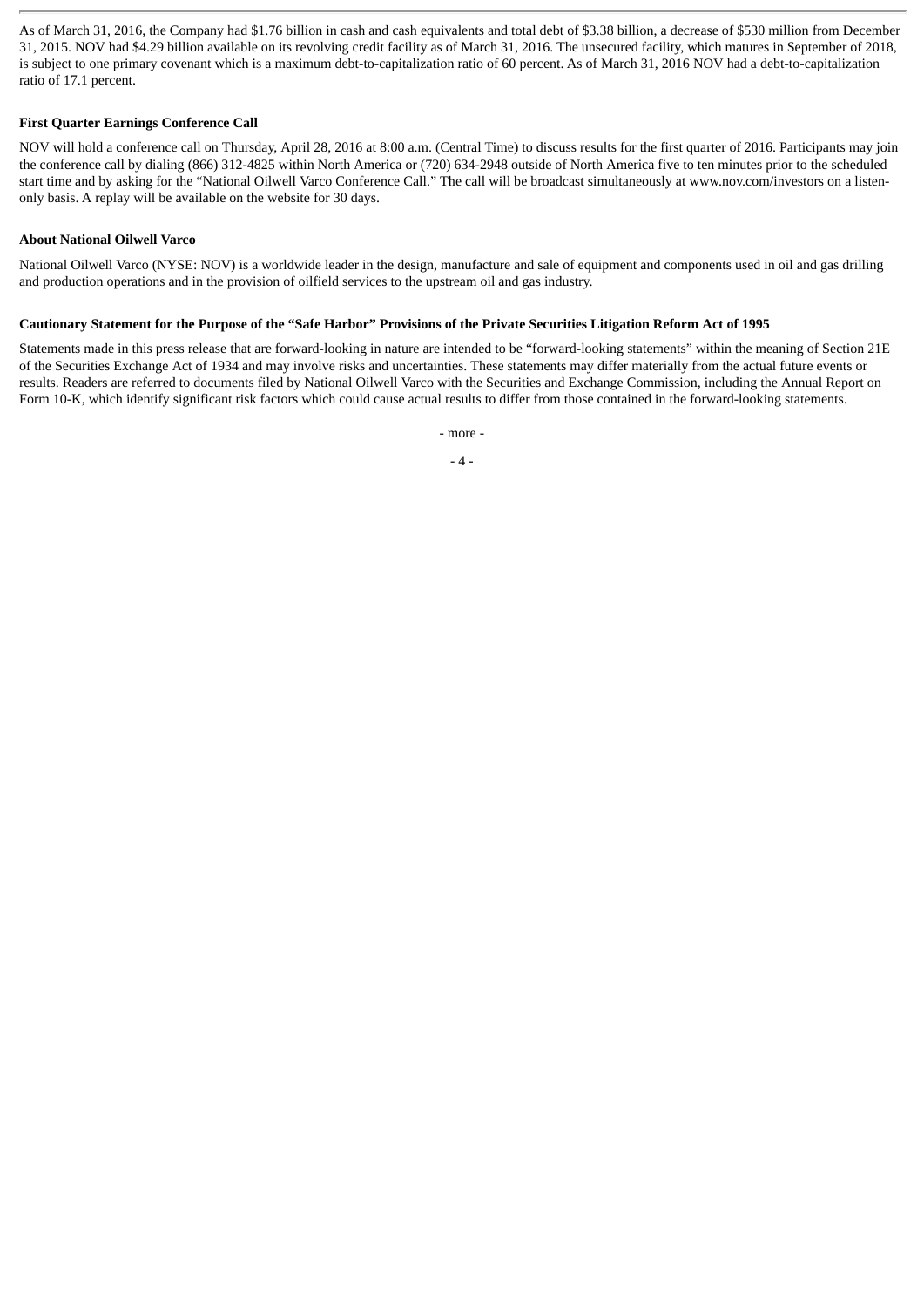As of March 31, 2016, the Company had \$1.76 billion in cash and cash equivalents and total debt of \$3.38 billion, a decrease of \$530 million from December 31, 2015. NOV had \$4.29 billion available on its revolving credit facility as of March 31, 2016. The unsecured facility, which matures in September of 2018, is subject to one primary covenant which is a maximum debt-to-capitalization ratio of 60 percent. As of March 31, 2016 NOV had a debt-to-capitalization ratio of 17.1 percent.

#### **First Quarter Earnings Conference Call**

NOV will hold a conference call on Thursday, April 28, 2016 at 8:00 a.m. (Central Time) to discuss results for the first quarter of 2016. Participants may join the conference call by dialing (866) 312-4825 within North America or (720) 634-2948 outside of North America five to ten minutes prior to the scheduled start time and by asking for the "National Oilwell Varco Conference Call." The call will be broadcast simultaneously at www.nov.com/investors on a listenonly basis. A replay will be available on the website for 30 days.

#### **About National Oilwell Varco**

National Oilwell Varco (NYSE: NOV) is a worldwide leader in the design, manufacture and sale of equipment and components used in oil and gas drilling and production operations and in the provision of oilfield services to the upstream oil and gas industry.

#### Cautionary Statement for the Purpose of the "Safe Harbor" Provisions of the Private Securities Litigation Reform Act of 1995

Statements made in this press release that are forward-looking in nature are intended to be "forward-looking statements" within the meaning of Section 21E of the Securities Exchange Act of 1934 and may involve risks and uncertainties. These statements may differ materially from the actual future events or results. Readers are referred to documents filed by National Oilwell Varco with the Securities and Exchange Commission, including the Annual Report on Form 10-K, which identify significant risk factors which could cause actual results to differ from those contained in the forward-looking statements.

- more -

- 4 -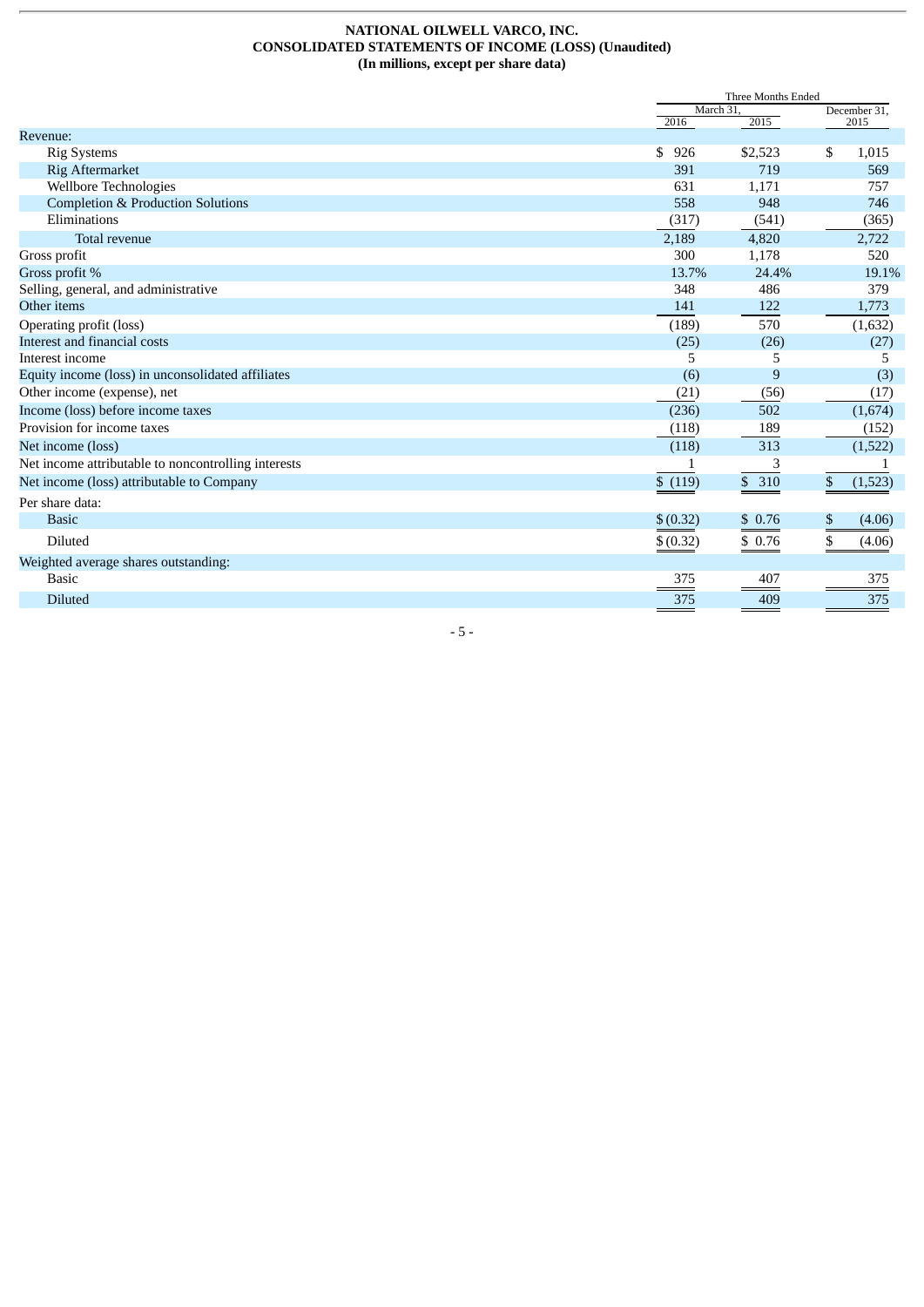#### **NATIONAL OILWELL VARCO, INC. CONSOLIDATED STATEMENTS OF INCOME (LOSS) (Unaudited) (In millions, except per share data)**

|                                                     |           | Three Months Ended<br>December 31. |               |  |
|-----------------------------------------------------|-----------|------------------------------------|---------------|--|
|                                                     |           | March 31                           |               |  |
| Revenue:                                            | 2016      | 2015                               | 2015          |  |
| <b>Rig Systems</b>                                  | \$<br>926 | \$2,523                            | \$<br>1,015   |  |
| Rig Aftermarket                                     | 391       | 719                                | 569           |  |
| Wellbore Technologies                               | 631       | 1,171                              | 757           |  |
| <b>Completion &amp; Production Solutions</b>        | 558       | 948                                | 746           |  |
| Eliminations                                        | (317)     | (541)                              | (365)         |  |
| Total revenue                                       | 2,189     | 4,820                              | 2,722         |  |
| Gross profit                                        | 300       | 1,178                              | 520           |  |
| Gross profit %                                      | 13.7%     | 24.4%                              | 19.1%         |  |
| Selling, general, and administrative                | 348       | 486                                | 379           |  |
| Other items                                         | 141       | 122                                | 1,773         |  |
| Operating profit (loss)                             | (189)     | 570                                | (1,632)       |  |
| Interest and financial costs                        | (25)      | (26)                               | (27)          |  |
| Interest income                                     | 5         | 5                                  | 5             |  |
| Equity income (loss) in unconsolidated affiliates   | (6)       | 9                                  | (3)           |  |
| Other income (expense), net                         | (21)      | (56)                               | (17)          |  |
| Income (loss) before income taxes                   | (236)     | 502                                | (1,674)       |  |
| Provision for income taxes                          | (118)     | 189                                | (152)         |  |
| Net income (loss)                                   | (118)     | 313                                | (1,522)       |  |
| Net income attributable to noncontrolling interests |           | 3                                  |               |  |
| Net income (loss) attributable to Company           | \$ (119)  | \$310                              | \$<br>(1,523) |  |
| Per share data:                                     |           |                                    |               |  |
| <b>Basic</b>                                        | \$ (0.32) | \$0.76                             | \$<br>(4.06)  |  |
| <b>Diluted</b>                                      | \$ (0.32) | \$0.76                             | \$<br>(4.06)  |  |
| Weighted average shares outstanding:                |           |                                    |               |  |
| <b>Basic</b>                                        | 375       | 407                                | 375           |  |
| <b>Diluted</b>                                      | 375       | 409                                | 375           |  |

- 5 -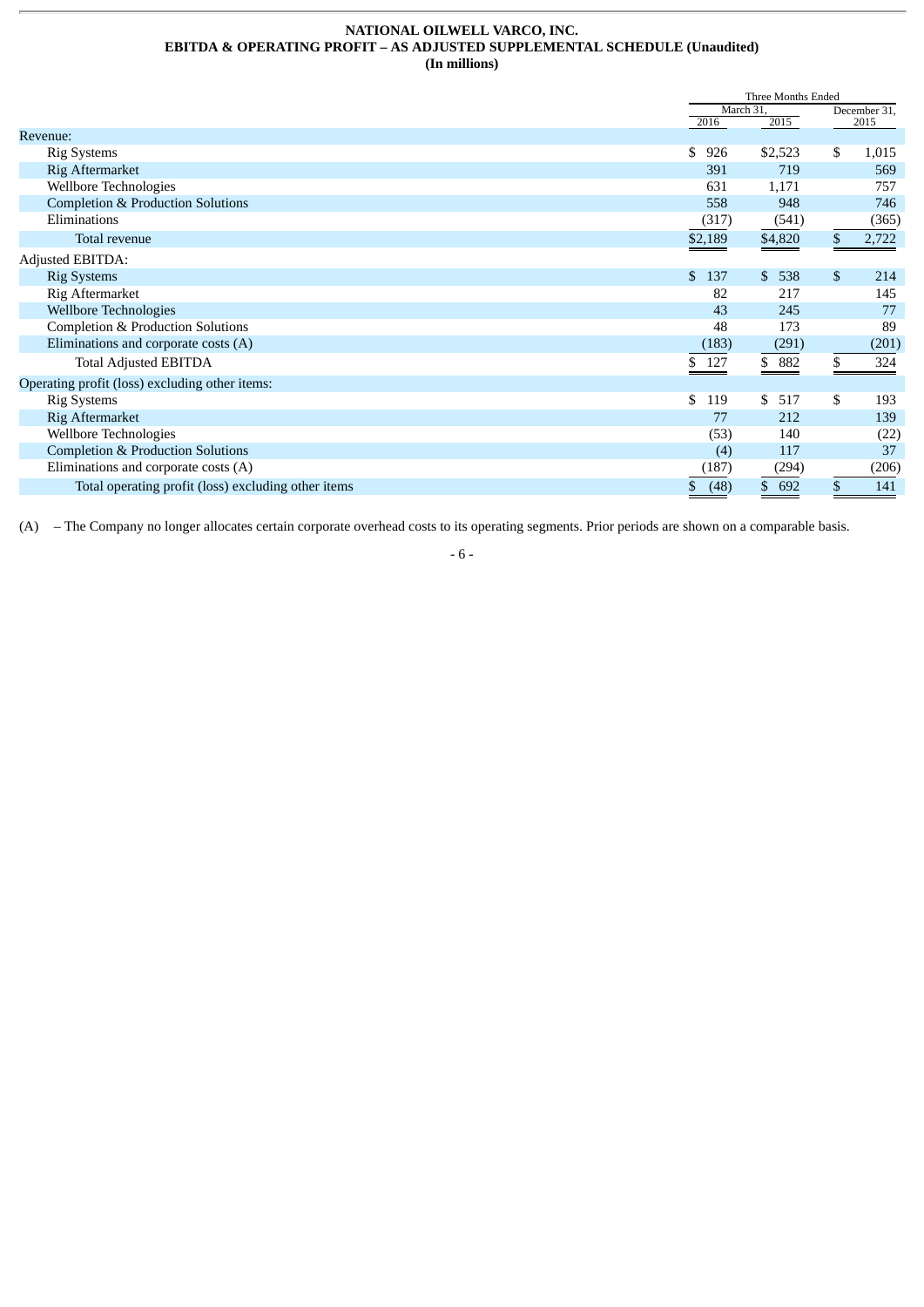#### **NATIONAL OILWELL VARCO, INC. EBITDA & OPERATING PROFIT – AS ADJUSTED SUPPLEMENTAL SCHEDULE (Unaudited) (In millions)**

|                                                     |            | Three Months Ended  |              |       |
|-----------------------------------------------------|------------|---------------------|--------------|-------|
|                                                     | March 31,  |                     | December 31, |       |
|                                                     | 2016       | 2015                |              | 2015  |
| Revenue:                                            |            |                     |              |       |
| <b>Rig Systems</b>                                  | \$<br>926  | \$2,523             | \$           | 1,015 |
| Rig Aftermarket                                     | 391        | 719                 |              | 569   |
| Wellbore Technologies                               | 631        | 1,171               |              | 757   |
| <b>Completion &amp; Production Solutions</b>        | 558        | 948                 |              | 746   |
| Eliminations                                        | (317)      | (541)               |              | (365) |
| Total revenue                                       | \$2,189    | \$4,820             | \$           | 2,722 |
| Adjusted EBITDA:                                    |            |                     |              |       |
| <b>Rig Systems</b>                                  | \$.<br>137 | $\mathbb{S}$<br>538 | \$           | 214   |
| Rig Aftermarket                                     | 82         | 217                 |              | 145   |
| <b>Wellbore Technologies</b>                        | 43         | 245                 |              | 77    |
| Completion & Production Solutions                   | 48         | 173                 |              | 89    |
| Eliminations and corporate costs (A)                | (183)      | (291)               |              | (201) |
| <b>Total Adjusted EBITDA</b>                        | \$127      | \$ 882              |              | 324   |
| Operating profit (loss) excluding other items:      |            |                     |              |       |
| <b>Rig Systems</b>                                  | \$.<br>119 | \$<br>517           | \$           | 193   |
| Rig Aftermarket                                     | 77         | 212                 |              | 139   |
| Wellbore Technologies                               | (53)       | 140                 |              | (22)  |
| <b>Completion &amp; Production Solutions</b>        | (4)        | 117                 |              | 37    |
| Eliminations and corporate costs (A)                | (187)      | (294)               |              | (206) |
| Total operating profit (loss) excluding other items | (48)<br>\$ | 692<br>\$           |              | 141   |

(A) – The Company no longer allocates certain corporate overhead costs to its operating segments. Prior periods are shown on a comparable basis.

- 6 -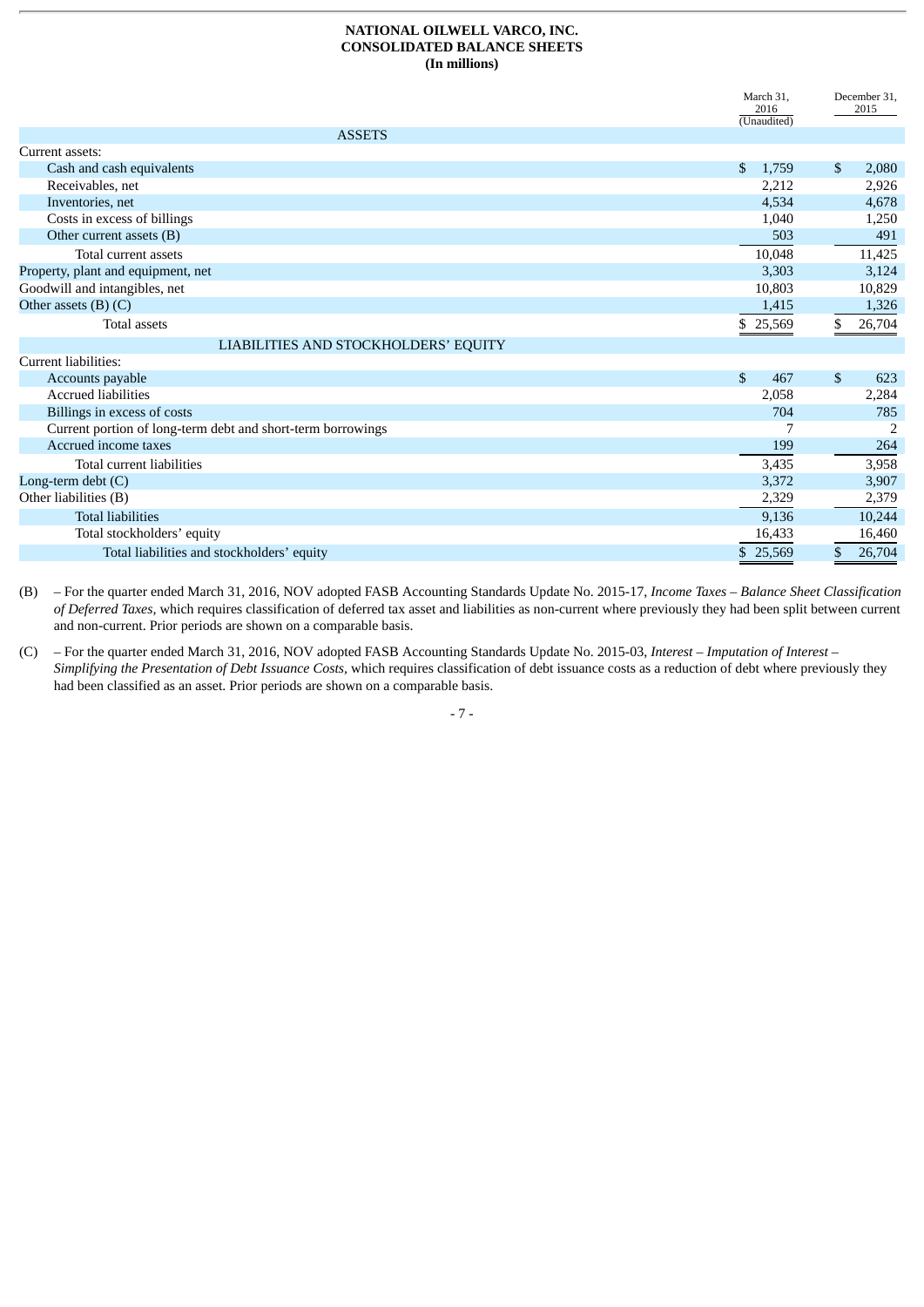#### **NATIONAL OILWELL VARCO, INC. CONSOLIDATED BALANCE SHEETS (In millions)**

|                                                             | March 31,<br>2016<br>(Unaudited) |              | December 31,<br>2015 |
|-------------------------------------------------------------|----------------------------------|--------------|----------------------|
| <b>ASSETS</b>                                               |                                  |              |                      |
| Current assets:                                             |                                  |              |                      |
| Cash and cash equivalents                                   | \$<br>1,759                      | \$           | 2,080                |
| Receivables, net                                            | 2,212                            |              | 2,926                |
| Inventories, net                                            | 4,534                            |              | 4,678                |
| Costs in excess of billings                                 | 1,040                            |              | 1,250                |
| Other current assets (B)                                    | 503                              |              | 491                  |
| Total current assets                                        | 10,048                           |              | 11,425               |
| Property, plant and equipment, net                          | 3,303                            |              | 3,124                |
| Goodwill and intangibles, net                               | 10,803                           |              | 10,829               |
| Other assets $(B)$ $(C)$                                    | 1,415                            |              | 1,326                |
| <b>Total assets</b>                                         | \$25,569                         | \$           | 26,704               |
| LIABILITIES AND STOCKHOLDERS' EQUITY                        |                                  |              |                      |
| Current liabilities:                                        |                                  |              |                      |
| Accounts payable                                            | $\mathbb{S}$<br>467              | $\mathbb{S}$ | 623                  |
| <b>Accrued liabilities</b>                                  | 2,058                            |              | 2,284                |
| Billings in excess of costs                                 | 704                              |              | 785                  |
| Current portion of long-term debt and short-term borrowings |                                  |              | 2                    |
| Accrued income taxes                                        | 199                              |              | 264                  |
| Total current liabilities                                   | 3,435                            |              | 3,958                |
| Long-term debt (C)                                          | 3,372                            |              | 3,907                |
| Other liabilities (B)                                       | 2,329                            |              | 2,379                |
| <b>Total liabilities</b>                                    | 9,136                            |              | 10,244               |
| Total stockholders' equity                                  | 16,433                           |              | 16,460               |
| Total liabilities and stockholders' equity                  | \$25,569                         | \$           | 26,704               |

(B) – For the quarter ended March 31, 2016, NOV adopted FASB Accounting Standards Update No. 2015-17, *Income Taxes – Balance Sheet Classification of Deferred Taxes,* which requires classification of deferred tax asset and liabilities as non-current where previously they had been split between current and non-current. Prior periods are shown on a comparable basis.

(C) – For the quarter ended March 31, 2016, NOV adopted FASB Accounting Standards Update No. 2015-03, *Interest – Imputation of Interest – Simplifying the Presentation of Debt Issuance Costs,* which requires classification of debt issuance costs as a reduction of debt where previously they had been classified as an asset. Prior periods are shown on a comparable basis.

- 7 -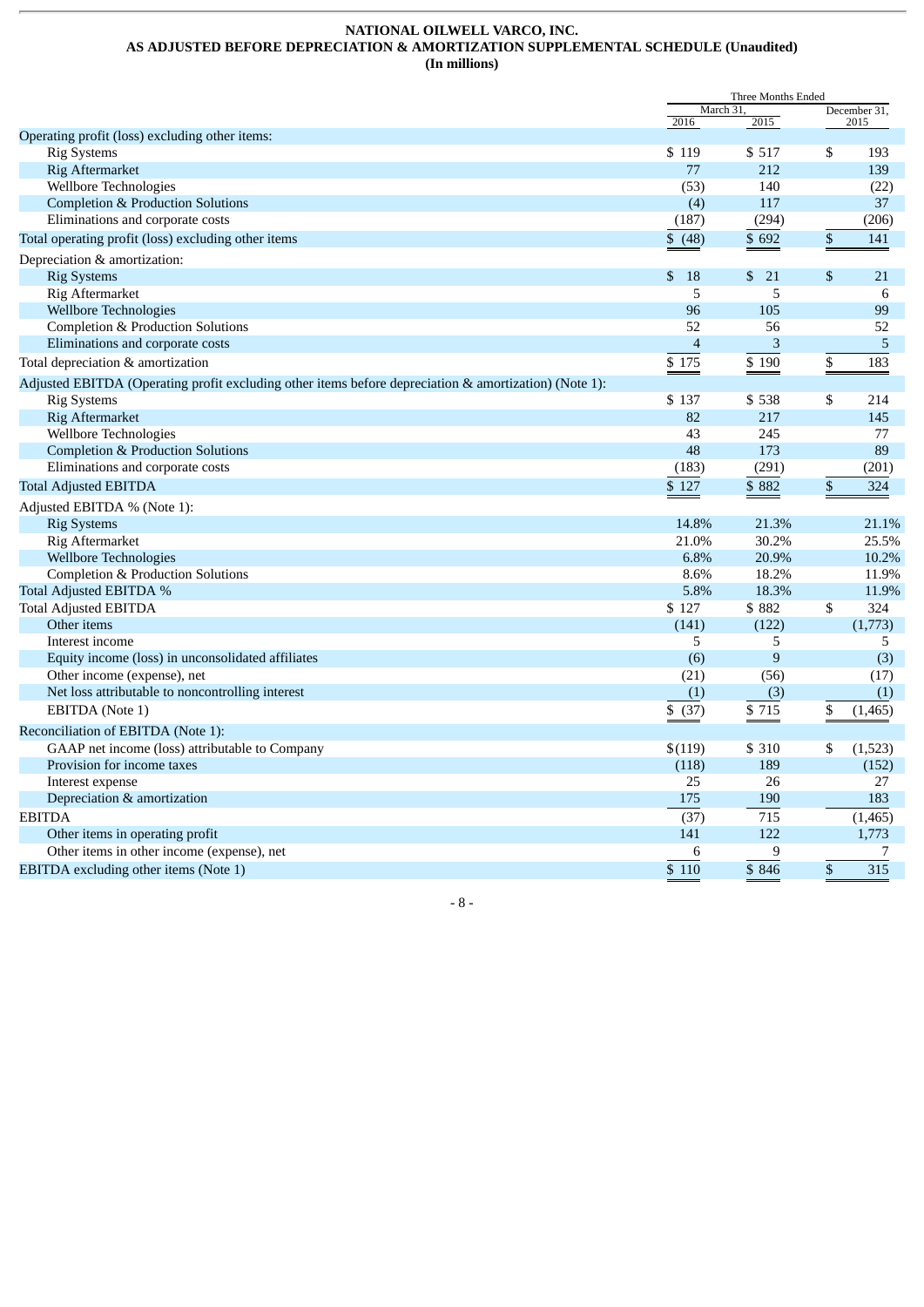#### **NATIONAL OILWELL VARCO, INC. AS ADJUSTED BEFORE DEPRECIATION & AMORTIZATION SUPPLEMENTAL SCHEDULE (Unaudited) (In millions)**

|                                                                                                       | Three Months Ended |                |    |                |
|-------------------------------------------------------------------------------------------------------|--------------------|----------------|----|----------------|
|                                                                                                       | March 31,          |                |    | December 31,   |
| Operating profit (loss) excluding other items:                                                        | 2016               | 2015           |    | 2015           |
| <b>Rig Systems</b>                                                                                    | \$119              | \$517          | \$ | 193            |
| <b>Rig Aftermarket</b>                                                                                | 77                 | 212            |    | 139            |
| Wellbore Technologies                                                                                 | (53)               | 140            |    | (22)           |
| <b>Completion &amp; Production Solutions</b>                                                          | (4)                | 117            |    | 37             |
| Eliminations and corporate costs                                                                      | (187)              | (294)          |    | (206)          |
| Total operating profit (loss) excluding other items                                                   | \$ (48)            | \$692          | \$ | 141            |
| Depreciation & amortization:                                                                          |                    |                |    |                |
| <b>Rig Systems</b>                                                                                    | \$18               | \$<br>- 21     | \$ | 21             |
| Rig Aftermarket                                                                                       | 5                  | 5              |    | 6              |
| <b>Wellbore Technologies</b>                                                                          | 96                 | 105            |    | 99             |
| Completion & Production Solutions                                                                     | 52                 | 56             |    | 52             |
| Eliminations and corporate costs                                                                      | $\overline{4}$     | 3              |    | 5              |
| Total depreciation & amortization                                                                     | \$175              | \$190          | \$ | 183            |
| Adjusted EBITDA (Operating profit excluding other items before depreciation & amortization) (Note 1): |                    |                |    |                |
| <b>Rig Systems</b>                                                                                    | \$137              | \$538          | \$ | 214            |
| <b>Rig Aftermarket</b>                                                                                | 82                 | 217            |    | 145            |
| Wellbore Technologies                                                                                 | 43                 | 245            |    | 77             |
| <b>Completion &amp; Production Solutions</b>                                                          | 48                 | 173            |    | 89             |
| Eliminations and corporate costs                                                                      | (183)              | (291)          |    | (201)          |
| <b>Total Adjusted EBITDA</b>                                                                          | \$127              | \$882          | \$ | 324            |
|                                                                                                       |                    |                |    |                |
| Adjusted EBITDA % (Note 1):                                                                           | 14.8%              | 21.3%          |    |                |
| <b>Rig Systems</b><br>Rig Aftermarket                                                                 | 21.0%              | 30.2%          |    | 21.1%<br>25.5% |
|                                                                                                       | 6.8%               |                |    |                |
| <b>Wellbore Technologies</b>                                                                          | 8.6%               | 20.9%<br>18.2% |    | 10.2%<br>11.9% |
| Completion & Production Solutions                                                                     | 5.8%               |                |    | 11.9%          |
| Total Adjusted EBITDA %                                                                               |                    | 18.3%          |    |                |
| <b>Total Adjusted EBITDA</b>                                                                          | \$127              | \$882          | \$ | 324            |
| Other items<br>Interest income                                                                        | (141)<br>5         | (122)          |    | (1,773)        |
|                                                                                                       |                    | 5<br>9         |    | 5              |
| Equity income (loss) in unconsolidated affiliates<br>Other income (expense), net                      | (6)<br>(21)        | (56)           |    | (3)<br>(17)    |
| Net loss attributable to noncontrolling interest                                                      | (1)                |                |    |                |
|                                                                                                       |                    | (3)            |    | (1)            |
| EBITDA (Note 1)                                                                                       | \$ (37)            | \$715          | \$ | (1,465)        |
| Reconciliation of EBITDA (Note 1):                                                                    |                    |                |    |                |
| GAAP net income (loss) attributable to Company                                                        | \$(119)            | \$ 310         | \$ | (1, 523)       |
| Provision for income taxes                                                                            | (118)              | 189            |    | (152)          |
| Interest expense                                                                                      | 25                 | 26             |    | 27             |
| Depreciation & amortization                                                                           | 175                | 190            |    | 183            |
| <b>EBITDA</b>                                                                                         | (37)               | 715            |    | (1, 465)       |
| Other items in operating profit                                                                       | 141                | 122            |    | 1,773          |
| Other items in other income (expense), net                                                            | 6                  | 9              |    | 7              |
| EBITDA excluding other items (Note 1)                                                                 | \$110              | \$846          | \$ | 315            |

- 8 -